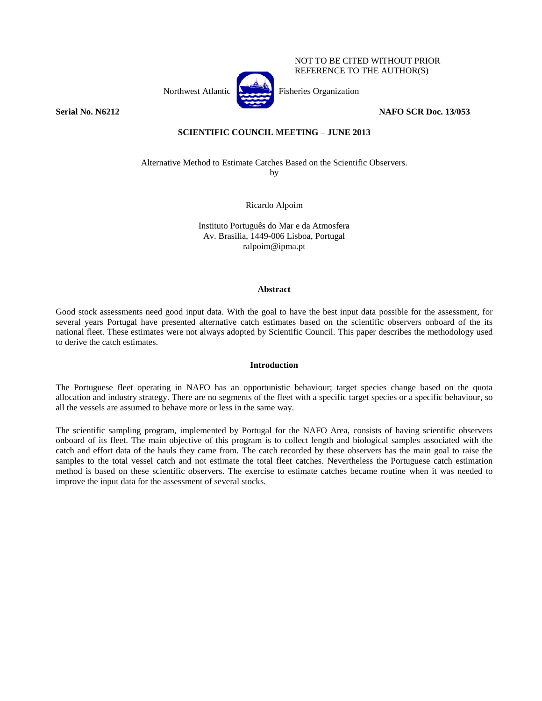

NOT TO BE CITED WITHOUT PRIOR REFERENCE TO THE AUTHOR(S)

**Serial No. N6212 NAFO SCR Doc. 13/053**

# **SCIENTIFIC COUNCIL MEETING – JUNE 2013**

Alternative Method to Estimate Catches Based on the Scientific Observers. by

Ricardo Alpoim

Instituto Português do Mar e da Atmosfera Av. Brasilia, 1449-006 Lisboa, Portugal ralpoim@ipma.pt

#### **Abstract**

Good stock assessments need good input data. With the goal to have the best input data possible for the assessment, for several years Portugal have presented alternative catch estimates based on the scientific observers onboard of the its national fleet. These estimates were not always adopted by Scientific Council. This paper describes the methodology used to derive the catch estimates.

### **Introduction**

The Portuguese fleet operating in NAFO has an opportunistic behaviour; target species change based on the quota allocation and industry strategy. There are no segments of the fleet with a specific target species or a specific behaviour, so all the vessels are assumed to behave more or less in the same way.

The scientific sampling program, implemented by Portugal for the NAFO Area, consists of having scientific observers onboard of its fleet. The main objective of this program is to collect length and biological samples associated with the catch and effort data of the hauls they came from. The catch recorded by these observers has the main goal to raise the samples to the total vessel catch and not estimate the total fleet catches. Nevertheless the Portuguese catch estimation method is based on these scientific observers. The exercise to estimate catches became routine when it was needed to improve the input data for the assessment of several stocks.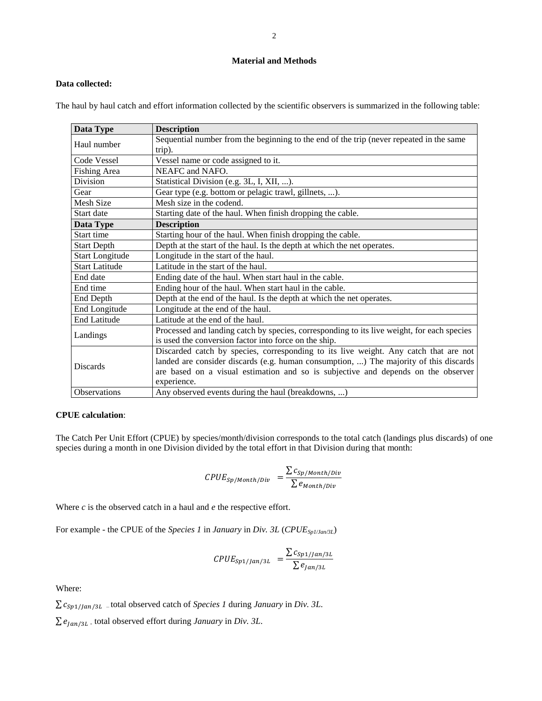### **Material and Methods**

# **Data collected:**

The haul by haul catch and effort information collected by the scientific observers is summarized in the following table:

| Data Type              | <b>Description</b>                                                                         |  |  |  |  |  |  |  |
|------------------------|--------------------------------------------------------------------------------------------|--|--|--|--|--|--|--|
| Haul number            | Sequential number from the beginning to the end of the trip (never repeated in the same    |  |  |  |  |  |  |  |
|                        | trip).                                                                                     |  |  |  |  |  |  |  |
| Code Vessel            | Vessel name or code assigned to it.                                                        |  |  |  |  |  |  |  |
| Fishing Area           | NEAFC and NAFO.                                                                            |  |  |  |  |  |  |  |
| Division               | Statistical Division (e.g. 3L, I, XII, ).                                                  |  |  |  |  |  |  |  |
| Gear                   | Gear type (e.g. bottom or pelagic trawl, gillnets, ).                                      |  |  |  |  |  |  |  |
| <b>Mesh Size</b>       | Mesh size in the codend.                                                                   |  |  |  |  |  |  |  |
| Start date             | Starting date of the haul. When finish dropping the cable.                                 |  |  |  |  |  |  |  |
| Data Type              | <b>Description</b>                                                                         |  |  |  |  |  |  |  |
| Start time             | Starting hour of the haul. When finish dropping the cable.                                 |  |  |  |  |  |  |  |
| <b>Start Depth</b>     | Depth at the start of the haul. Is the depth at which the net operates.                    |  |  |  |  |  |  |  |
| <b>Start Longitude</b> | Longitude in the start of the haul.                                                        |  |  |  |  |  |  |  |
| <b>Start Latitude</b>  | Latitude in the start of the haul.                                                         |  |  |  |  |  |  |  |
| End date               | Ending date of the haul. When start haul in the cable.                                     |  |  |  |  |  |  |  |
| End time               | Ending hour of the haul. When start haul in the cable.                                     |  |  |  |  |  |  |  |
| End Depth              | Depth at the end of the haul. Is the depth at which the net operates.                      |  |  |  |  |  |  |  |
| End Longitude          | Longitude at the end of the haul.                                                          |  |  |  |  |  |  |  |
| <b>End Latitude</b>    | Latitude at the end of the haul.                                                           |  |  |  |  |  |  |  |
|                        | Processed and landing catch by species, corresponding to its live weight, for each species |  |  |  |  |  |  |  |
| Landings               | is used the conversion factor into force on the ship.                                      |  |  |  |  |  |  |  |
|                        | Discarded catch by species, corresponding to its live weight. Any catch that are not       |  |  |  |  |  |  |  |
| <b>Discards</b>        | landed are consider discards (e.g. human consumption, ) The majority of this discards      |  |  |  |  |  |  |  |
|                        | are based on a visual estimation and so is subjective and depends on the observer          |  |  |  |  |  |  |  |
|                        | experience.                                                                                |  |  |  |  |  |  |  |
| <b>Observations</b>    | Any observed events during the haul (breakdowns, )                                         |  |  |  |  |  |  |  |

# **CPUE calculation**:

The Catch Per Unit Effort (CPUE) by species/month/division corresponds to the total catch (landings plus discards) of one species during a month in one Division divided by the total effort in that Division during that month:

$$
CPUE_{Sp/Month/Div} = \frac{\sum c_{Sp/Month/Div}}{\sum e_{Month/Div}}
$$

Where *c* is the observed catch in a haul and *e* the respective effort.

For example - the CPUE of the *Species 1* in *January* in *Div. 3L* (*CPUESp1/Jan/3L*)

$$
CPUE_{Sp1/Jan/3L} = \frac{\sum c_{Sp1/Jan/3L}}{\sum e_{Jan/3L}}
$$

Where:

 $\sum c_{Sp1/Jan/3L}$  –total observed catch of *Species 1* during *January* in *Div.* 3L.

 $\sum e_{\text{Jan/3}L}$  total observed effort during *January* in *Div.* 3L.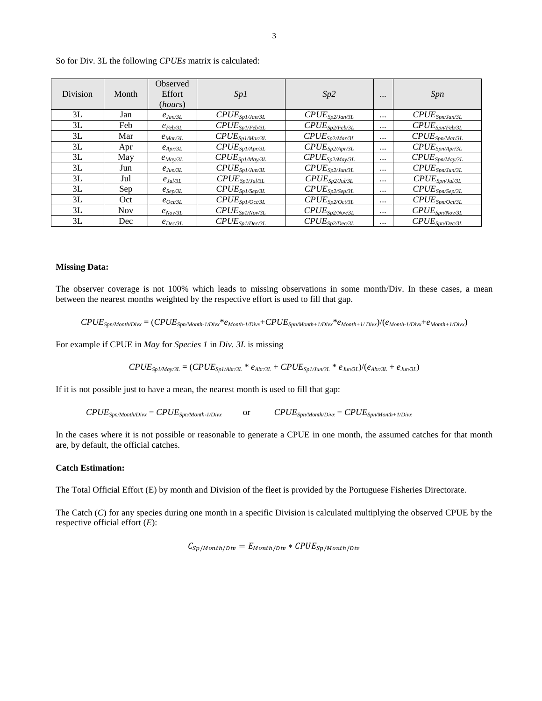| <b>Division</b> | Month | Observed<br>Effort<br>(hours) | Sp1                                                        | Sp2                                                        | $\cdots$ | <i>Spn</i>                                                                  |
|-----------------|-------|-------------------------------|------------------------------------------------------------|------------------------------------------------------------|----------|-----------------------------------------------------------------------------|
| 3L              | Jan   | $e_{Jan/3L}$                  | $\mathit{CPUE}_{\mathit{Spl/Jan/3L}}$                      | $\mathit{CPUE}_{\mathit{Sp2/Jan/3L}}$                      | $\cdots$ | $\mathit{CPUE}_{\mathit{Spn/Jan/3L}}$                                       |
| 3L              | Feb   | $e_{Feb/3L}$                  | $\mathit{CPUE}_{\mathit{Spl/Feb/3L}}$                      | $\mathit{CPUE}_{\mathit{Sp2/Eeb/3L}}$                      | $\cdots$ | $\mathit{CPUE}_{\mathit{Spn/Feb/3L}}$                                       |
| 3L              | Mar   | $e_{Mar/3L}$                  | $\mathit{CPUE}_{\mathit{Sp1/Mar/3L}}$                      | $\mathit{CPUE}_{\mathit{Sp2}/\textit{Mar}/3L}$             | $\cdots$ | $\mathit{CPUE}_{\mathit{Spn}\underline{\textit{Mar}/3L}}$                   |
| 3L              | Apr   | $e_{Apr/3L}$                  | $\mathit{CPUE}_{\mathit{Spl/Apr/3L}}$                      | $\mathit{CPUE}_{\mathit{Sp2/Apr/3L}}$                      | $\cdots$ | $\mathit{CPUE}_{\mathit{Spn\text{/}\underline{A}pr\text{/}\underline{3}L}}$ |
| 3L              | May   | $e_{Mav/3L}$                  | $\mathit{CPUE}_{\mathit{Spl/May/3L}}$                      | $\mathit{CPUE}_{\mathit{Sp2/May/3L}}$                      | $\cdots$ | $\mathit{CPUE}_{\mathit{Spn/May/3L}}$                                       |
| 3L              | Jun   | $e_{Jun/3L}$                  | $\mathit{CPUE}_{\mathit{Spl/Jun/3L}}$                      | $\mathit{CPUE}_{\mathit{Sp2/Jun/3L}}$                      | $\cdots$ | $\mathit{CPUE}_{\mathit{Spn/Jun/3L}}$                                       |
| 3L              | Jul   | $e_{Jul/3L}$                  | $\mathit{CPUE}_{\mathit{Spl/Jul/3L}}$                      | $\mathit{CPUE}_{\mathit{Sp2/Jul/3L}}$                      | $\cdots$ | $\mathit{CPUE}_{\mathit{Spn/Jul/3L}}$                                       |
| 3L              | Sep   | $e_{Sep/3L}$                  | $\mathit{CPUE}_{\mathit{Spl/Sep/3L}}$                      | $\mathit{CPUE}_{\mathit{Sp2/Sep/3L}}$                      | $\cdots$ | $\mathit{CPUE}_{\mathit{Spn/Sep/3L}}$                                       |
| 3L              | Oct   | $e_{Oct/3L}$                  | $\mathit{CPUE}_{\mathit{Sp1/Oct/3L}}$                      | $\mathit{CPUE}_{\mathit{Sp2/Oct/3L}}$                      | $\cdots$ | $\mathit{CPUE}_{\mathit{Spn/Oct/3L}}$                                       |
| 3L              | Nov.  | $e_{Nov/3L}$                  | $\mathit{CPUE}_{\mathit{Spl/Mov/3L}}$                      | $\mathit{CPUE}_{\mathit{Sp2}/\underline{\mathit{Nov}/3L}}$ | $\cdots$ | $\mathit{CPUE}_{\mathit{Spn}\underline{\textit{Nov/3}L}}$                   |
| 3L              | Dec   | $e_{Dec/3L}$                  | $\mathit{CPUE}_{\mathit{Spl}/\underline{\mathit{Dec}/3L}}$ | $\mathit{CPUE}_{\mathit{Sp2/Dec/3L}}$                      | $\cdots$ | $\mathit{CPUE}_{\mathit{Spn/Dec/3L}}$                                       |

So for Div. 3L the following *CPUEs* matrix is calculated:

#### **Missing Data:**

The observer coverage is not 100% which leads to missing observations in some month/Div. In these cases, a mean between the nearest months weighted by the respective effort is used to fill that gap.

$$
CPUE_{Spn/Month\cdot Divx} = (CPUE_{Spn/Month\text{-}1/Divx} * e_{Month\text{-}1/Divx} + CPUE_{Spn/Month\text{+}1/Divx} * e_{Month\text{+}1/Divx})/(e_{Month\text{-}1/Divx} + e_{Month\text{+}1/Divx})
$$

For example if CPUE in *May* for *Species 1* in *Div. 3L* is missing

 $CPUE_{Spl/May/3L} = (CPUE_{Spl/Abr/3L} * e_{Abr/3L} + CPUE_{Spl/Jun/3L} * e_{Jun/3L})/(e_{Abr/3L} + e_{Jun/3L})$ 

If it is not possible just to have a mean, the nearest month is used to fill that gap:

 $CPUE_{\text{Spn/Month/Divx}} = CPUE_{\text{Spn/Month-1/Divx}}$  or  $CPUE_{\text{Spn/Month/Divx}} = CPUE_{\text{Spn/Month+1/Divx}}$ 

In the cases where it is not possible or reasonable to generate a CPUE in one month, the assumed catches for that month are, by default, the official catches.

### **Catch Estimation:**

The Total Official Effort (E) by month and Division of the fleet is provided by the Portuguese Fisheries Directorate.

The Catch (*C*) for any species during one month in a specific Division is calculated multiplying the observed CPUE by the respective official effort (*E*):

 $C_{Sp/Month/Div} = E_{Month/Div} * CPUE_{Sp/Month/Div}$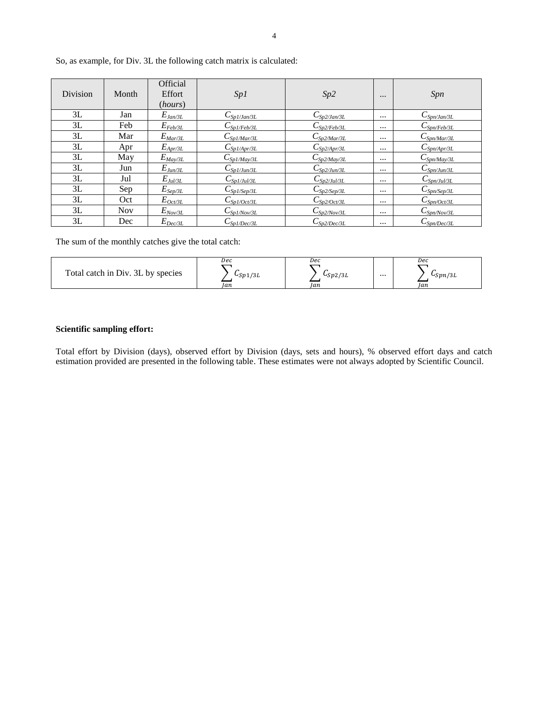| Division | Month      | Official<br>Effort<br>(hours) | Sp1                            | Sp2                        | $\cdots$ | Spn                                        |
|----------|------------|-------------------------------|--------------------------------|----------------------------|----------|--------------------------------------------|
| 3L       | Jan        | $E_{Ja n/3L}$                 | $C_{Sp1/Jan/3L}$               | $C_{\frac{Sp2/Jan/3L}{2}}$ | $\cdots$ | $C_{Spn/Jan/3L}$                           |
| 3L       | Feb        | $E_{Feb/3L}$                  | $C_{Spl/Feb/3L}$               | $C_{\text{Sp2/Feb/3L}}$    | $\cdots$ | $C_{\text{Spn/Feb/3L}}$                    |
| 3L       | Mar        | $E_{\textit{Mar}/3L}$         | $C_{\text{Sp1}/\text{Mar/3L}}$ | $C_{\text{Sp2/Mar/3L}}$    | $\cdots$ | $C_{\text{Spn}/\text{Mar}/3L}$             |
| 3L       | Apr        | $E_{Apr/3L}$                  | $C_{Sp1/Apr/3L}$               | $C_{Sp2/Apr/3L}$           | $\cdots$ | $C_{Spn/Apr/3L}$                           |
| 3L       | May        | $E_{\textit{May/3L}}$         | $C_{\text{Sp1/May/3L}}$        | $C_{Sp2/May/3L}$           | $\cdots$ | $C_{Spn/May/3L}$                           |
| 3L       | Jun        | $E_{J \underline{u n/3} L}$   | $C_{Sp1/Jun/3L}$               | $C_{\text{Sp2/Jun/3L}}$    | $\cdots$ | $C_{\text{Spn}/\underline{\text{Jun}}/3L}$ |
| 3L       | Jul        | $E_{Jul/3L}$                  | $C_{Sp1/Jul/3L}$               | $C_{Sp2/Ju l/3L}$          | $\cdots$ | $C_{Spn/Jul/3L}$                           |
| 3L       | Sep        | $E_{\mathit{Sep/3L}}$         | $C_{Sp1/Sep/3L}$               | $C_{\text{Sp2/Sep/3L}}$    | $\cdots$ | $C_{\text{Spn/Sep/3L}}$                    |
| 3L       | Oct        | $E_{Oct/3L}$                  | $C_{\text{SD1}/\text{Oct/3L}}$ | $C_{Sp2/Oct/3L}$           | $\cdots$ | $C_{Spn/Oct/3L}$                           |
| 3L       | <b>Nov</b> | $E_{Nov/3L}$                  | $C_{Sp1/Nov/3L}$               | $C_{Sp2/Nov/3L}$           | $\cdots$ | $C_{\text{Spn/Nov/3L}}$                    |
| 3L       | Dec        | $E_{Dec/3L}$                  | $C_{Sp1/Dec/3L}$               | $C_{Sp2/Dec/3L}$           | $\cdots$ | $C_{Spn/Dec/3L}$                           |

So, as example, for Div. 3L the following catch matrix is calculated:

The sum of the monthly catches give the total catch:

| Total catch in Div. 3L by species | Dec     | Dec     |          | Dec          |
|-----------------------------------|---------|---------|----------|--------------|
|                                   | CSp1/3L | LSp2/3L | $\cdots$ | $c_{Spn/3L}$ |
|                                   | Ian     | Jan     |          | Ian          |

## **Scientific sampling effort:**

Total effort by Division (days), observed effort by Division (days, sets and hours), % observed effort days and catch estimation provided are presented in the following table. These estimates were not always adopted by Scientific Council.